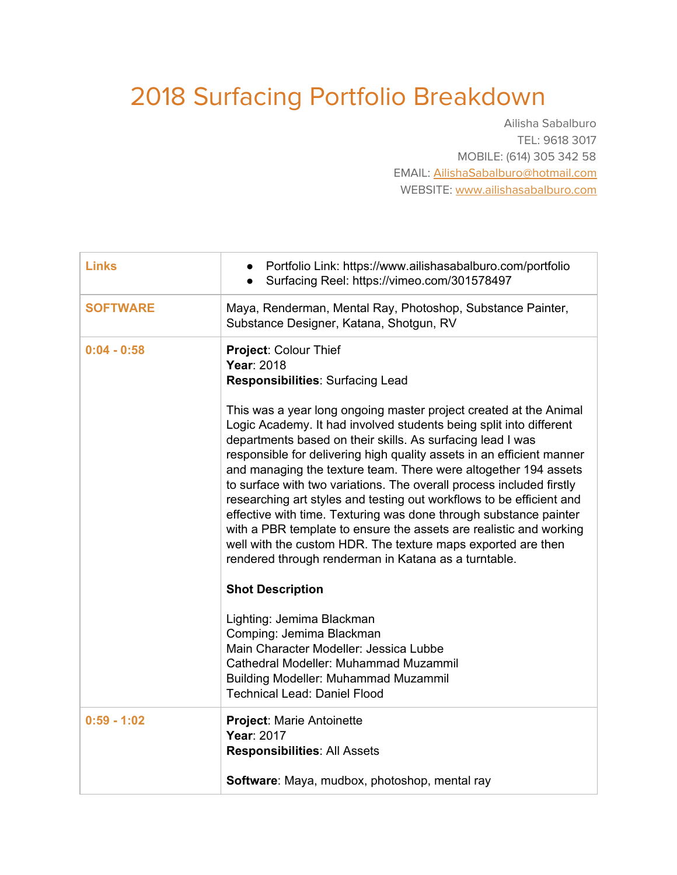## 2018 Surfacing Portfolio Breakdown

Ailisha Sabalburo TEL: 9618 3017 MOBILE: (614) 305 342 58 EMAIL: [AilishaSabalburo@hotmail.com](mailto:AilishaSabalburo@hotmail.com) WEBSITE: [www.ailishasabalburo.com](http://www.ailishasabalburo.com/)

| <b>Links</b>    | Portfolio Link: https://www.ailishasabalburo.com/portfolio<br>Surfacing Reel: https://vimeo.com/301578497                                                                                                                                                                                                                                                                                                                                                                                                                                                                                                                                                                                                                                                                                                                                                                  |
|-----------------|----------------------------------------------------------------------------------------------------------------------------------------------------------------------------------------------------------------------------------------------------------------------------------------------------------------------------------------------------------------------------------------------------------------------------------------------------------------------------------------------------------------------------------------------------------------------------------------------------------------------------------------------------------------------------------------------------------------------------------------------------------------------------------------------------------------------------------------------------------------------------|
| <b>SOFTWARE</b> | Maya, Renderman, Mental Ray, Photoshop, Substance Painter,<br>Substance Designer, Katana, Shotgun, RV                                                                                                                                                                                                                                                                                                                                                                                                                                                                                                                                                                                                                                                                                                                                                                      |
| $0:04 - 0:58$   | Project: Colour Thief<br>Year: 2018<br>Responsibilities: Surfacing Lead<br>This was a year long ongoing master project created at the Animal<br>Logic Academy. It had involved students being split into different<br>departments based on their skills. As surfacing lead I was<br>responsible for delivering high quality assets in an efficient manner<br>and managing the texture team. There were altogether 194 assets<br>to surface with two variations. The overall process included firstly<br>researching art styles and testing out workflows to be efficient and<br>effective with time. Texturing was done through substance painter<br>with a PBR template to ensure the assets are realistic and working<br>well with the custom HDR. The texture maps exported are then<br>rendered through renderman in Katana as a turntable.<br><b>Shot Description</b> |
|                 | Lighting: Jemima Blackman<br>Comping: Jemima Blackman<br>Main Character Modeller: Jessica Lubbe<br>Cathedral Modeller: Muhammad Muzammil<br><b>Building Modeller: Muhammad Muzammil</b><br><b>Technical Lead: Daniel Flood</b>                                                                                                                                                                                                                                                                                                                                                                                                                                                                                                                                                                                                                                             |
| $0:59 - 1:02$   | <b>Project: Marie Antoinette</b><br>Year: 2017<br><b>Responsibilities: All Assets</b><br>Software: Maya, mudbox, photoshop, mental ray                                                                                                                                                                                                                                                                                                                                                                                                                                                                                                                                                                                                                                                                                                                                     |